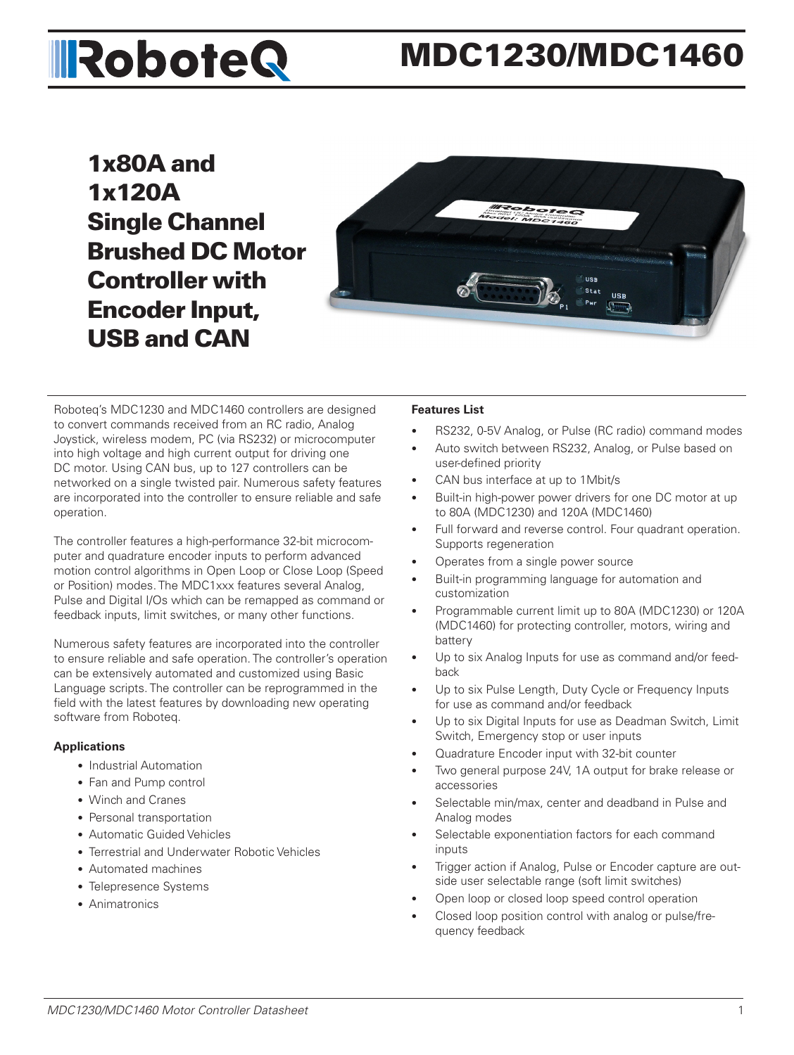# **IRoboteQ**

# MDC1230/MDC1460

1x80A and 1x120A Single Channel Brushed DC Motor Controller with Encoder Input, USB and CAN



Roboteq's MDC1230 and MDC1460 controllers are designed to convert commands received from an RC radio, Analog Joystick, wireless modem, PC (via RS232) or microcomputer into high voltage and high current output for driving one DC motor. Using CAN bus, up to 127 controllers can be networked on a single twisted pair. Numerous safety features are incorporated into the controller to ensure reliable and safe operation.

The controller features a high-performance 32-bit microcomputer and quadrature encoder inputs to perform advanced motion control algorithms in Open Loop or Close Loop (Speed or Position) modes. The MDC1xxx features several Analog, Pulse and Digital I/Os which can be remapped as command or feedback inputs, limit switches, or many other functions.

Numerous safety features are incorporated into the controller to ensure reliable and safe operation. The controller's operation can be extensively automated and customized using Basic Language scripts. The controller can be reprogrammed in the field with the latest features by downloading new operating software from Roboteq.

#### **Applications**

- Industrial Automation
- Fan and Pump control
- Winch and Cranes
- Personal transportation
- Automatic Guided Vehicles
- Terrestrial and Underwater Robotic Vehicles
- Automated machines
- Telepresence Systems
- Animatronics

#### **Features List**

- RS232, 0-5V Analog, or Pulse (RC radio) command modes
- Auto switch between RS232, Analog, or Pulse based on user-defined priority
- CAN bus interface at up to 1Mbit/s
- Built-in high-power power drivers for one DC motor at up to 80A (MDC1230) and 120A (MDC1460)
- Full forward and reverse control. Four quadrant operation. Supports regeneration
- Operates from a single power source
- Built-in programming language for automation and customization
- Programmable current limit up to 80A (MDC1230) or 120A (MDC1460) for protecting controller, motors, wiring and battery
- Up to six Analog Inputs for use as command and/or feedback
- Up to six Pulse Length, Duty Cycle or Frequency Inputs for use as command and/or feedback
- Up to six Digital Inputs for use as Deadman Switch, Limit Switch, Emergency stop or user inputs
- Quadrature Encoder input with 32-bit counter
- Two general purpose 24V, 1A output for brake release or accessories
- Selectable min/max, center and deadband in Pulse and Analog modes
- Selectable exponentiation factors for each command inputs
- Trigger action if Analog, Pulse or Encoder capture are outside user selectable range (soft limit switches)
- Open loop or closed loop speed control operation
- Closed loop position control with analog or pulse/frequency feedback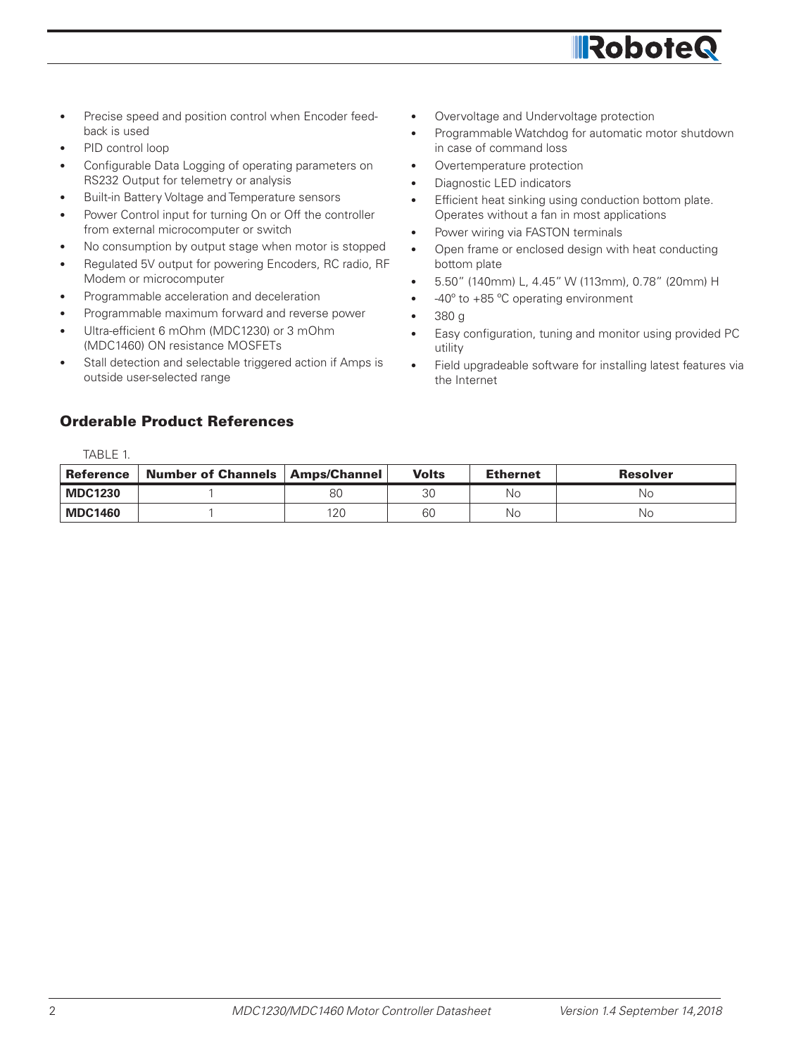

- Precise speed and position control when Encoder feedback is used
- PID control loop

TABLE 1.

- Configurable Data Logging of operating parameters on RS232 Output for telemetry or analysis
- Built-in Battery Voltage and Temperature sensors
- Power Control input for turning On or Off the controller from external microcomputer or switch
- No consumption by output stage when motor is stopped
- Regulated 5V output for powering Encoders, RC radio, RF Modem or microcomputer
- Programmable acceleration and deceleration
- Programmable maximum forward and reverse power
- Ultra-efficient 6 mOhm (MDC1230) or 3 mOhm (MDC1460) ON resistance MOSFETs
- Stall detection and selectable triggered action if Amps is outside user-selected range

# Orderable Product References

- Overvoltage and Undervoltage protection
- Programmable Watchdog for automatic motor shutdown in case of command loss
- Overtemperature protection
- Diagnostic LED indicators
- Efficient heat sinking using conduction bottom plate. Operates without a fan in most applications
- Power wiring via FASTON terminals
- Open frame or enclosed design with heat conducting bottom plate
- 5.50" (140mm) L, 4.45" W (113mm), 0.78" (20mm) H
- -40° to +85 °C operating environment
- 380 g
- Easy configuration, tuning and monitor using provided PC utility
- Field upgradeable software for installing latest features via the Internet

| IADLE I.         |                           |                     |              |                 |                 |
|------------------|---------------------------|---------------------|--------------|-----------------|-----------------|
| <b>Reference</b> | <b>Number of Channels</b> | <b>Amps/Channel</b> | <b>Volts</b> | <b>Ethernet</b> | <b>Resolver</b> |
| <b>MDC1230</b>   |                           | 80                  | ЗC           | No              | No              |
| <b>MDC1460</b>   |                           | 120                 | 60           | No              | No              |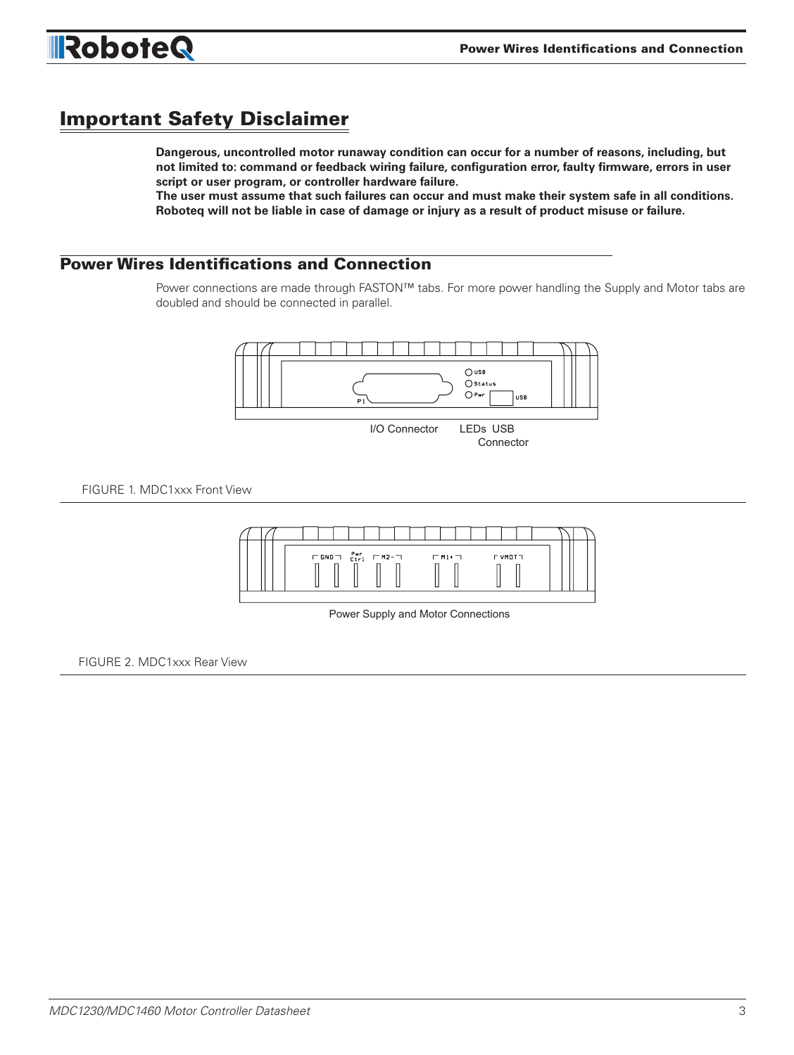

# Important Safety Disclaimer

**Dangerous, uncontrolled motor runaway condition can occur for a number of reasons, including, but not limited to: command or feedback wiring failure, configuration error, faulty firmware, errors in user script or user program, or controller hardware failure.** 

**The user must assume that such failures can occur and must make their system safe in all conditions. Roboteq will not be liable in case of damage or injury as a result of product misuse or failure.**

# Power Wires Identifications and Connection

Power connections are made through FASTON™ tabs. For more power handling the Supply and Motor tabs are doubled and should be connected in parallel.

Connector



FIGURE 1. MDC1xxx Front View



Power Supply and Motor Connections

FIGURE 2. MDC1xxx Rear View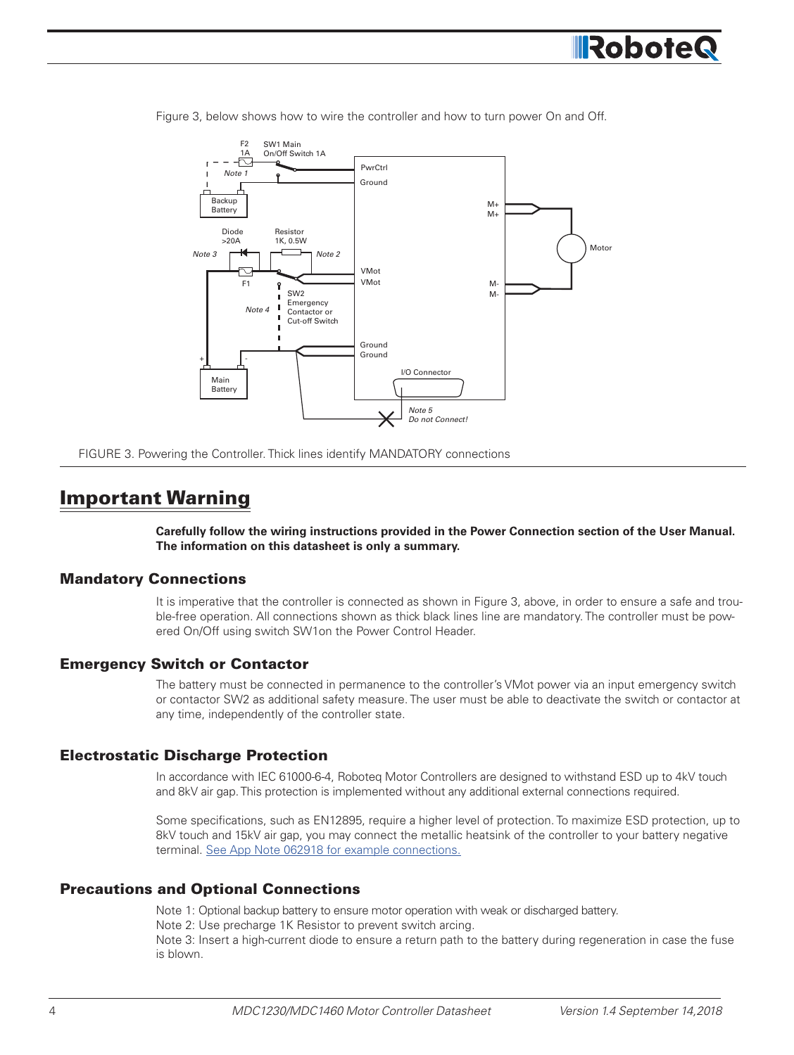



Figure 3, below shows how to wire the controller and how to turn power On and Off.

FIGURE 3. Powering the Controller. Thick lines identify MANDATORY connections

# Important Warning

**Carefully follow the wiring instructions provided in the Power Connection section of the User Manual. The information on this datasheet is only a summary.**

#### Mandatory Connections

It is imperative that the controller is connected as shown in Figure 3, above, in order to ensure a safe and trouble-free operation. All connections shown as thick black lines line are mandatory. The controller must be powered On/Off using switch SW1on the Power Control Header.

#### Emergency Switch or Contactor

The battery must be connected in permanence to the controller's VMot power via an input emergency switch or contactor SW2 as additional safety measure. The user must be able to deactivate the switch or contactor at any time, independently of the controller state.

#### Electrostatic Discharge Protection

In accordance with IEC 61000-6-4, Roboteq Motor Controllers are designed to withstand ESD up to 4kV touch and 8kV air gap. This protection is implemented without any additional external connections required.

Some specifications, such as EN12895, require a higher level of protection. To maximize ESD protection, up to 8kV touch and 15kV air gap, you may connect the metallic heatsink of the controller to your battery negative terminal. See App Note 062918 for example connections.

#### Precautions and Optional Connections

Note 1: Optional backup battery to ensure motor operation with weak or discharged battery. Note 2: Use precharge 1K Resistor to prevent switch arcing.

Note 3: Insert a high-current diode to ensure a return path to the battery during regeneration in case the fuse is blown.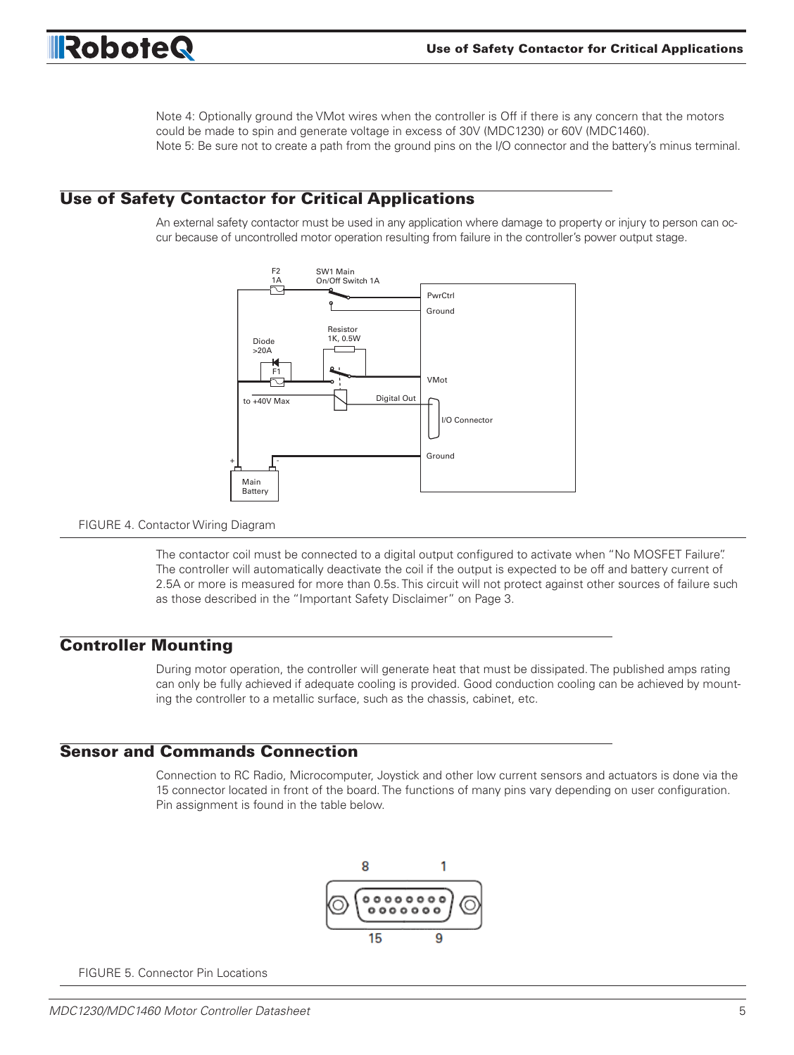

Note 4: Optionally ground the VMot wires when the controller is Off if there is any concern that the motors could be made to spin and generate voltage in excess of 30V (MDC1230) or 60V (MDC1460). Note 5: Be sure not to create a path from the ground pins on the I/O connector and the battery's minus terminal.

#### Use of Safety Contactor for Critical Applications

An external safety contactor must be used in any application where damage to property or injury to person can occur because of uncontrolled motor operation resulting from failure in the controller's power output stage.



#### FIGURE 4. Contactor Wiring Diagram

The contactor coil must be connected to a digital output configured to activate when "No MOSFET Failure". The controller will automatically deactivate the coil if the output is expected to be off and battery current of 2.5A or more is measured for more than 0.5s. This circuit will not protect against other sources of failure such as those described in the "Important Safety Disclaimer" on Page 3.

#### Controller Mounting

During motor operation, the controller will generate heat that must be dissipated. The published amps rating can only be fully achieved if adequate cooling is provided. Good conduction cooling can be achieved by mounting the controller to a metallic surface, such as the chassis, cabinet, etc.

#### Sensor and Commands Connection

Connection to RC Radio, Microcomputer, Joystick and other low current sensors and actuators is done via the 15 connector located in front of the board. The functions of many pins vary depending on user configuration. Pin assignment is found in the table below.



FIGURE 5. Connector Pin Locations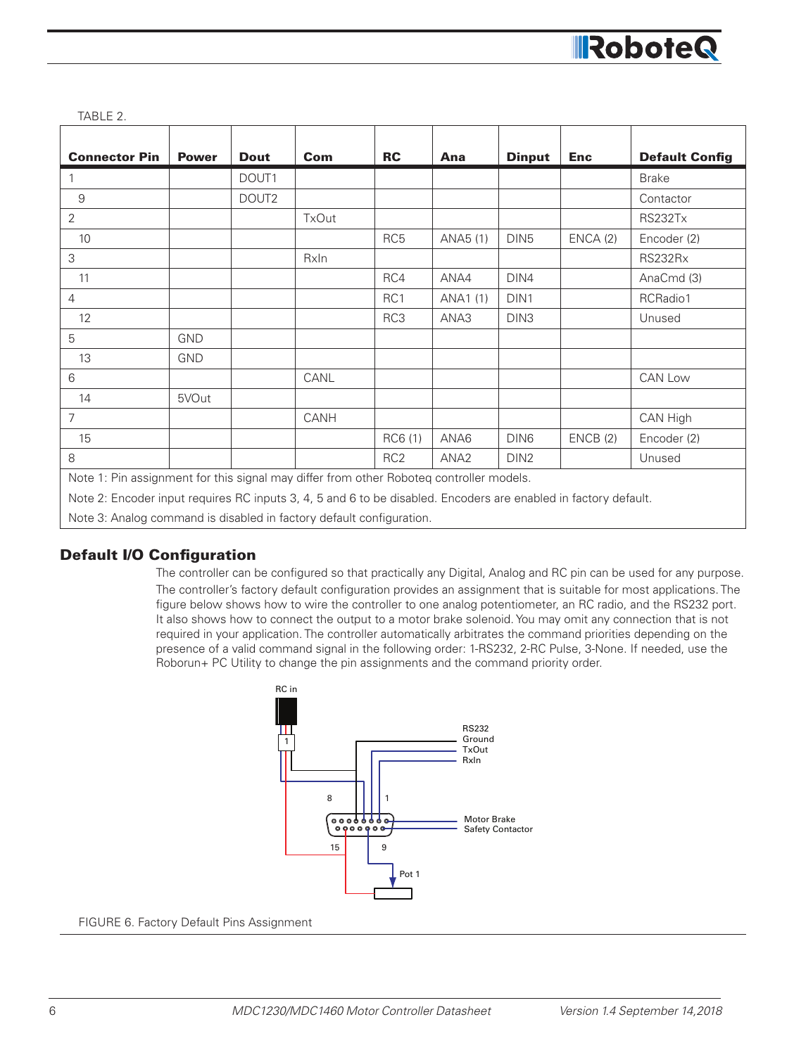

| <b>Connector Pin</b>                                                                                            | <b>Power</b> | <b>Dout</b>       | Com   | <b>RC</b>       | Ana              | <b>Dinput</b>    | <b>Enc</b> | <b>Default Config</b> |
|-----------------------------------------------------------------------------------------------------------------|--------------|-------------------|-------|-----------------|------------------|------------------|------------|-----------------------|
|                                                                                                                 |              | DOUT1             |       |                 |                  |                  |            | <b>Brake</b>          |
| $\overline{9}$                                                                                                  |              | DOUT <sub>2</sub> |       |                 |                  |                  |            | Contactor             |
| $\overline{2}$                                                                                                  |              |                   | TxOut |                 |                  |                  |            | RS232Tx               |
| 10                                                                                                              |              |                   |       | RC <sub>5</sub> | ANA5 (1)         | DIN <sub>5</sub> | ENCA(2)    | Encoder (2)           |
| 3                                                                                                               |              |                   | RxIn  |                 |                  |                  |            | RS232Rx               |
| 11                                                                                                              |              |                   |       | RC4             | ANA4             | DIN4             |            | AnaCmd (3)            |
| $\overline{4}$                                                                                                  |              |                   |       | RC1             | ANA1 (1)         | DIN <sub>1</sub> |            | RCRadio1              |
| 12                                                                                                              |              |                   |       | RC3             | ANA3             | DIN <sub>3</sub> |            | Unused                |
| 5                                                                                                               | <b>GND</b>   |                   |       |                 |                  |                  |            |                       |
| 13                                                                                                              | <b>GND</b>   |                   |       |                 |                  |                  |            |                       |
| 6                                                                                                               |              |                   | CANL  |                 |                  |                  |            | CAN Low               |
| 14                                                                                                              | 5VOut        |                   |       |                 |                  |                  |            |                       |
| $\overline{7}$                                                                                                  |              |                   | CANH  |                 |                  |                  |            | CAN High              |
| 15                                                                                                              |              |                   |       | RC6 (1)         | ANA6             | DIN6             | ENCB(2)    | Encoder (2)           |
| 8                                                                                                               |              |                   |       | RC <sub>2</sub> | ANA <sub>2</sub> | DIN <sub>2</sub> |            | Unused                |
| Note 1: Pin assignment for this signal may differ from other Roboteq controller models.                         |              |                   |       |                 |                  |                  |            |                       |
| Note 2: Encoder input requires RC inputs 3, 4, 5 and 6 to be disabled. Encoders are enabled in factory default. |              |                   |       |                 |                  |                  |            |                       |
| Note 3: Analog command is disabled in factory default configuration.                                            |              |                   |       |                 |                  |                  |            |                       |

#### Default I/O Configuration

The controller can be configured so that practically any Digital, Analog and RC pin can be used for any purpose. The controller's factory default configuration provides an assignment that is suitable for most applications. The figure below shows how to wire the controller to one analog potentiometer, an RC radio, and the RS232 port. It also shows how to connect the output to a motor brake solenoid. You may omit any connection that is not required in your application. The controller automatically arbitrates the command priorities depending on the presence of a valid command signal in the following order: 1-RS232, 2-RC Pulse, 3-None. If needed, use the Roborun+ PC Utility to change the pin assignments and the command priority order.



FIGURE 6. Factory Default Pins Assignment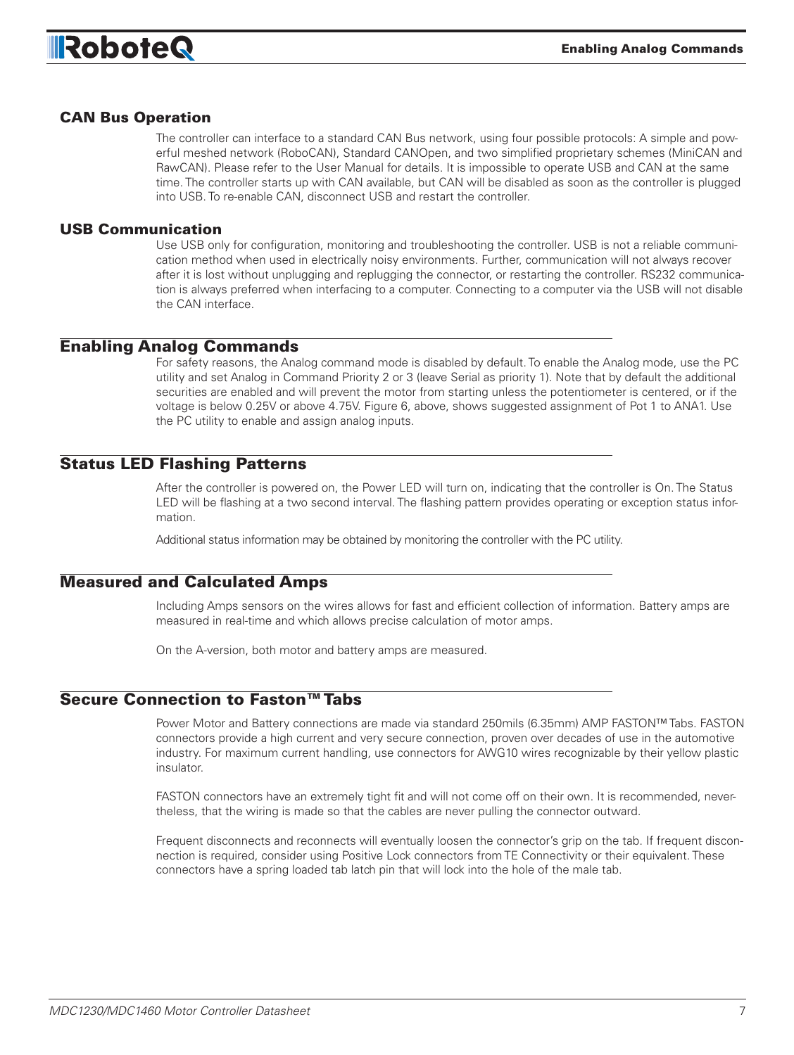

#### CAN Bus Operation

The controller can interface to a standard CAN Bus network, using four possible protocols: A simple and powerful meshed network (RoboCAN), Standard CANOpen, and two simplified proprietary schemes (MiniCAN and RawCAN). Please refer to the User Manual for details. It is impossible to operate USB and CAN at the same time. The controller starts up with CAN available, but CAN will be disabled as soon as the controller is plugged into USB. To re-enable CAN, disconnect USB and restart the controller.

#### USB Communication

Use USB only for configuration, monitoring and troubleshooting the controller. USB is not a reliable communication method when used in electrically noisy environments. Further, communication will not always recover after it is lost without unplugging and replugging the connector, or restarting the controller. RS232 communication is always preferred when interfacing to a computer. Connecting to a computer via the USB will not disable the CAN interface.

#### Enabling Analog Commands

For safety reasons, the Analog command mode is disabled by default. To enable the Analog mode, use the PC utility and set Analog in Command Priority 2 or 3 (leave Serial as priority 1). Note that by default the additional securities are enabled and will prevent the motor from starting unless the potentiometer is centered, or if the voltage is below 0.25V or above 4.75V. Figure 6, above, shows suggested assignment of Pot 1 to ANA1. Use the PC utility to enable and assign analog inputs.

#### Status LED Flashing Patterns

After the controller is powered on, the Power LED will turn on, indicating that the controller is On. The Status LED will be flashing at a two second interval. The flashing pattern provides operating or exception status information.

Additional status information may be obtained by monitoring the controller with the PC utility.

#### Measured and Calculated Amps

Including Amps sensors on the wires allows for fast and efficient collection of information. Battery amps are measured in real-time and which allows precise calculation of motor amps.

On the A-version, both motor and battery amps are measured.

#### Secure Connection to Faston™ Tabs

Power Motor and Battery connections are made via standard 250mils (6.35mm) AMP FASTON™ Tabs. FASTON connectors provide a high current and very secure connection, proven over decades of use in the automotive industry. For maximum current handling, use connectors for AWG10 wires recognizable by their yellow plastic insulator.

FASTON connectors have an extremely tight fit and will not come off on their own. It is recommended, nevertheless, that the wiring is made so that the cables are never pulling the connector outward.

Frequent disconnects and reconnects will eventually loosen the connector's grip on the tab. If frequent disconnection is required, consider using Positive Lock connectors from TE Connectivity or their equivalent. These connectors have a spring loaded tab latch pin that will lock into the hole of the male tab.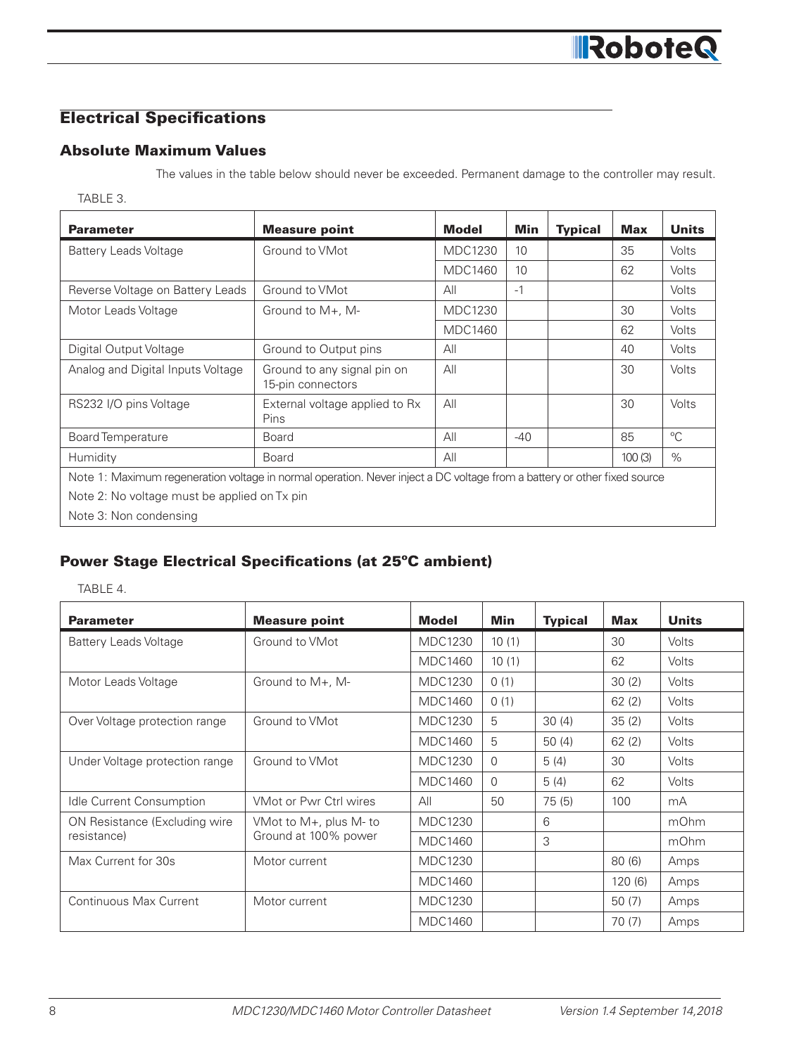# Electrical Specifications

# Absolute Maximum Values

The values in the table below should never be exceeded. Permanent damage to the controller may result.

#### TABLE 3.

| <b>Parameter</b>                                                                                                         | <b>Measure point</b>                             | <b>Model</b>   | Min   | <b>Typical</b> | <b>Max</b> | <b>Units</b> |  |  |  |
|--------------------------------------------------------------------------------------------------------------------------|--------------------------------------------------|----------------|-------|----------------|------------|--------------|--|--|--|
| <b>Battery Leads Voltage</b>                                                                                             | Ground to VMot                                   | <b>MDC1230</b> | 10    |                | 35         | <b>Volts</b> |  |  |  |
|                                                                                                                          |                                                  | <b>MDC1460</b> | 10    |                | 62         | <b>Volts</b> |  |  |  |
| Reverse Voltage on Battery Leads                                                                                         | Ground to VMot                                   | All            | $-1$  |                |            | <b>Volts</b> |  |  |  |
| Motor Leads Voltage                                                                                                      | Ground to $M_{+}$ , M-                           | <b>MDC1230</b> |       |                | 30         | <b>Volts</b> |  |  |  |
|                                                                                                                          |                                                  | <b>MDC1460</b> |       |                | 62         | Volts        |  |  |  |
| Digital Output Voltage                                                                                                   | Ground to Output pins                            | All            |       |                | 40         | <b>Volts</b> |  |  |  |
| Analog and Digital Inputs Voltage                                                                                        | Ground to any signal pin on<br>15-pin connectors | All            |       |                | 30         | Volts        |  |  |  |
| RS232 I/O pins Voltage                                                                                                   | External voltage applied to Rx<br>Pins           | All            |       |                | 30         | <b>Volts</b> |  |  |  |
| <b>Board Temperature</b>                                                                                                 | <b>Board</b>                                     | All            | $-40$ |                | 85         | $^{\circ}C$  |  |  |  |
| Humidity                                                                                                                 | <b>Board</b>                                     | All            |       |                | 100(3)     | $\%$         |  |  |  |
| Note 1: Maximum regeneration voltage in normal operation. Never inject a DC voltage from a battery or other fixed source |                                                  |                |       |                |            |              |  |  |  |
| Note 2: No voltage must be applied on Tx pin                                                                             |                                                  |                |       |                |            |              |  |  |  |
|                                                                                                                          |                                                  |                |       |                |            |              |  |  |  |

Note 3: Non condensing

# Power Stage Electrical Specifications (at 25ºC ambient)

TABLE 4.

| <b>Parameter</b>                | <b>Measure point</b>   | <b>Model</b>   | Min      | <b>Typical</b> | <b>Max</b> | <b>Units</b> |
|---------------------------------|------------------------|----------------|----------|----------------|------------|--------------|
| <b>Battery Leads Voltage</b>    | Ground to VMot         | <b>MDC1230</b> | 10(1)    |                | 30         | Volts        |
|                                 |                        | <b>MDC1460</b> | 10(1)    |                | 62         | <b>Volts</b> |
| Motor Leads Voltage             | Ground to $M_{+}$ , M- | <b>MDC1230</b> | 0(1)     |                | 30(2)      | <b>Volts</b> |
|                                 |                        | <b>MDC1460</b> | 0(1)     |                | 62(2)      | <b>Volts</b> |
| Over Voltage protection range   | Ground to VMot         | <b>MDC1230</b> | 5        | 30(4)          | 35(2)      | <b>Volts</b> |
|                                 |                        | <b>MDC1460</b> | 5        | 50(4)          | 62(2)      | <b>Volts</b> |
| Under Voltage protection range  | Ground to VMot         | <b>MDC1230</b> | $\Omega$ | 5(4)           | 30         | <b>Volts</b> |
|                                 |                        | <b>MDC1460</b> | $\Omega$ | 5(4)           | 62         | <b>Volts</b> |
| <b>Idle Current Consumption</b> | VMot or Pwr Ctrl wires | All            | 50       | 75(5)          | 100        | mA           |
| ON Resistance (Excluding wire   | VMot to M+, plus M- to | <b>MDC1230</b> |          | 6              |            | mOhm         |
| resistance)                     | Ground at 100% power   | <b>MDC1460</b> |          | 3              |            | mOhm         |
| Max Current for 30s             | Motor current          | <b>MDC1230</b> |          |                | 80(6)      | Amps         |
|                                 |                        | <b>MDC1460</b> |          |                | 120(6)     | Amps         |
| Continuous Max Current          | Motor current          | <b>MDC1230</b> |          |                | 50(7)      | Amps         |
|                                 |                        | <b>MDC1460</b> |          |                | 70 (7)     | Amps         |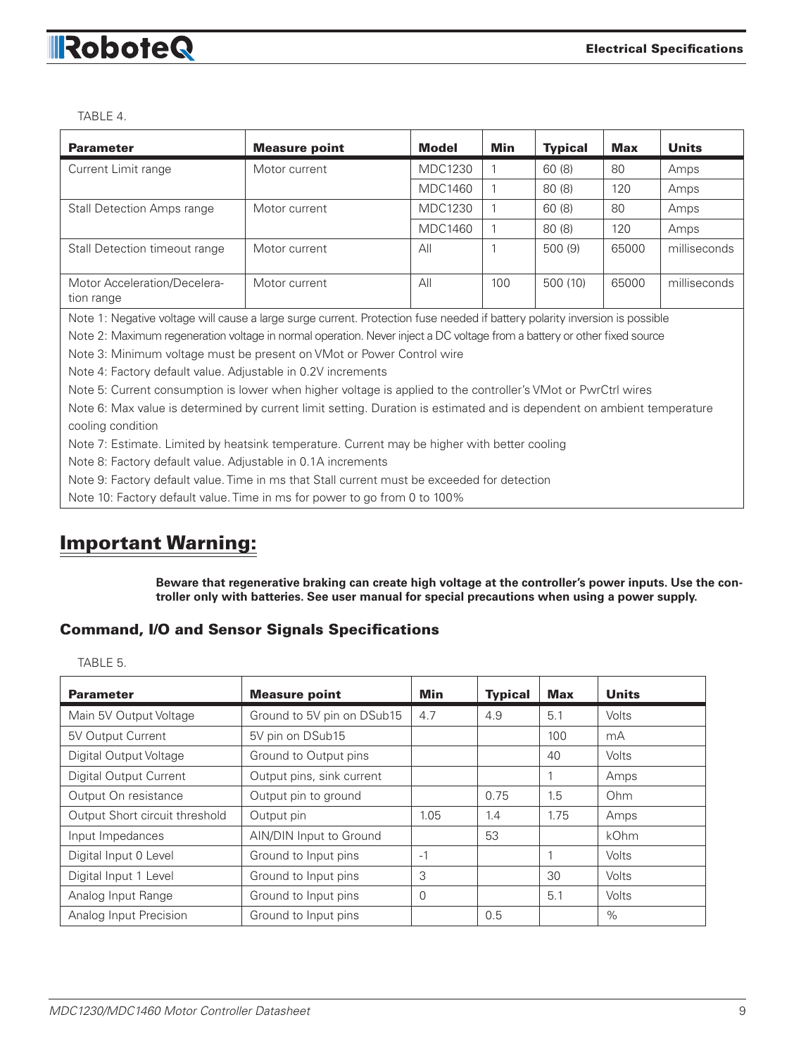

TABLE 4.

| <b>Parameter</b>                           | <b>Measure point</b> | <b>Model</b>   | Min | <b>Typical</b> | Max   | <b>Units</b> |
|--------------------------------------------|----------------------|----------------|-----|----------------|-------|--------------|
| Current Limit range                        | Motor current        | <b>MDC1230</b> |     | 60(8)          | 80    | Amps         |
|                                            |                      | MDC1460        |     | 80(8)          | 120   | Amps         |
| <b>Stall Detection Amps range</b>          | Motor current        | <b>MDC1230</b> |     | 60(8)          | 80    | Amps         |
|                                            |                      | <b>MDC1460</b> |     | 80(8)          | 120   | Amps         |
| Stall Detection timeout range              | Motor current        | All            |     | 500(9)         | 65000 | milliseconds |
| Motor Acceleration/Decelera-<br>tion range | Motor current        | All            | 100 | 500(10)        | 65000 | milliseconds |

Note 1: Negative voltage will cause a large surge current. Protection fuse needed if battery polarity inversion is possible

Note 2: Maximum regeneration voltage in normal operation. Never inject a DC voltage from a battery or other fixed source

Note 3: Minimum voltage must be present on VMot or Power Control wire

Note 4: Factory default value. Adjustable in 0.2V increments

Note 5: Current consumption is lower when higher voltage is applied to the controller's VMot or PwrCtrl wires

Note 6: Max value is determined by current limit setting. Duration is estimated and is dependent on ambient temperature cooling condition

Note 7: Estimate. Limited by heatsink temperature. Current may be higher with better cooling

Note 8: Factory default value. Adjustable in 0.1A increments

Note 9: Factory default value. Time in ms that Stall current must be exceeded for detection

Note 10: Factory default value. Time in ms for power to go from 0 to 100%

# Important Warning:

**Beware that regenerative braking can create high voltage at the controller's power inputs. Use the controller only with batteries. See user manual for special precautions when using a power supply.**

#### Command, I/O and Sensor Signals Specifications

TABLE 5.

| <b>Parameter</b>               | <b>Measure point</b>       | Min  | <b>Typical</b> | <b>Max</b> | <b>Units</b> |
|--------------------------------|----------------------------|------|----------------|------------|--------------|
| Main 5V Output Voltage         | Ground to 5V pin on DSub15 | 4.7  | 4.9            | 5.1        | Volts        |
| 5V Output Current              | 5V pin on DSub15           |      |                | 100        | mA           |
| Digital Output Voltage         | Ground to Output pins      |      |                | 40         | Volts        |
| <b>Digital Output Current</b>  | Output pins, sink current  |      |                |            | Amps         |
| Output On resistance           | Output pin to ground       |      | 0.75           | 1.5        | Ohm          |
| Output Short circuit threshold | Output pin                 | 1.05 | 1.4            | 1.75       | Amps         |
| Input Impedances               | AIN/DIN Input to Ground    |      | 53             |            | kOhm         |
| Digital Input 0 Level          | Ground to Input pins       | $-1$ |                |            | Volts        |
| Digital Input 1 Level          | Ground to Input pins       | 3    |                | 30         | Volts        |
| Analog Input Range             | Ground to Input pins       | 0    |                | 5.1        | Volts        |
| Analog Input Precision         | Ground to Input pins       |      | 0.5            |            | $\%$         |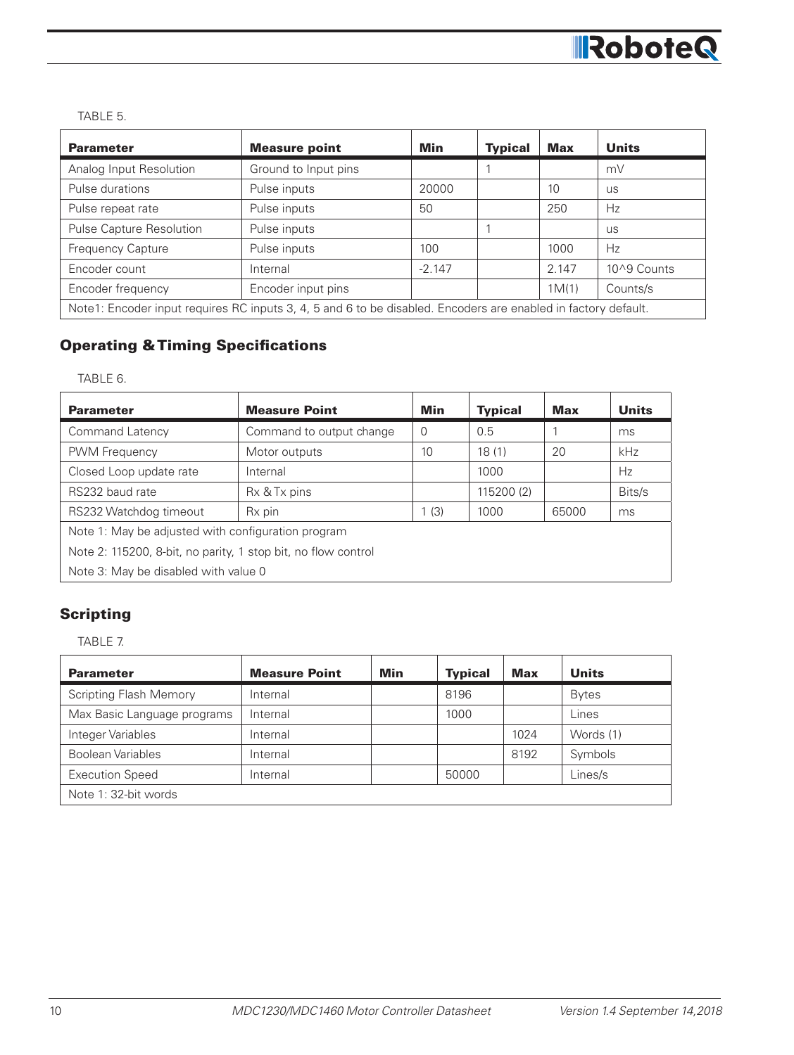

TABLE 5.

| <b>Parameter</b>                                                                                               | <b>Measure point</b> | Min      | <b>Typical</b> | <b>Max</b> | <b>Units</b> |  |  |
|----------------------------------------------------------------------------------------------------------------|----------------------|----------|----------------|------------|--------------|--|--|
| Analog Input Resolution                                                                                        | Ground to Input pins |          |                |            | mV           |  |  |
| Pulse durations                                                                                                | Pulse inputs         | 20000    |                | 10         | <b>US</b>    |  |  |
| Pulse repeat rate                                                                                              | Pulse inputs         | 50       |                | 250        | Hz           |  |  |
| Pulse Capture Resolution                                                                                       | Pulse inputs         |          |                |            | <b>US</b>    |  |  |
| <b>Frequency Capture</b>                                                                                       | Pulse inputs         | 100      |                | 1000       | Hz           |  |  |
| Encoder count                                                                                                  | Internal             | $-2.147$ |                | 2.147      | 10^9 Counts  |  |  |
| Encoder frequency                                                                                              | Encoder input pins   |          |                | 1M(1)      | Counts/s     |  |  |
| Note1: Encoder input requires RC inputs 3, 4, 5 and 6 to be disabled. Encoders are enabled in factory default. |                      |          |                |            |              |  |  |

# Operating & Timing Specifications

TABLE 6.

| <b>Parameter</b>                                              | <b>Measure Point</b>     | Min      | <b>Typical</b> | Max   | <b>Units</b> |  |  |  |
|---------------------------------------------------------------|--------------------------|----------|----------------|-------|--------------|--|--|--|
| Command Latency                                               | Command to output change | $\Omega$ | 0.5            |       | ms           |  |  |  |
| <b>PWM Frequency</b>                                          | Motor outputs            | 10       | 18(1)          | 20    | kHz          |  |  |  |
| Closed Loop update rate                                       | Internal                 |          | 1000           |       | Hz           |  |  |  |
| RS232 baud rate                                               | Rx & Tx pins             |          | 115200 (2)     |       | Bits/s       |  |  |  |
| RS232 Watchdog timeout                                        | Rx pin                   | 1(3)     | 1000           | 65000 | ms           |  |  |  |
| Note 1: May be adjusted with configuration program            |                          |          |                |       |              |  |  |  |
| Note 2: 115200, 8-bit, no parity, 1 stop bit, no flow control |                          |          |                |       |              |  |  |  |
| Note 3: May be disabled with value 0                          |                          |          |                |       |              |  |  |  |

# **Scripting**

TABLE 7.

| <b>Parameter</b>              | <b>Measure Point</b> | Min | <b>Typical</b> | <b>Max</b> | <b>Units</b> |  |  |  |
|-------------------------------|----------------------|-----|----------------|------------|--------------|--|--|--|
| <b>Scripting Flash Memory</b> | Internal             |     | 8196           |            | <b>Bytes</b> |  |  |  |
| Max Basic Language programs   | Internal             |     | 1000           |            | Lines        |  |  |  |
| Integer Variables             | Internal             |     |                | 1024       | Words (1)    |  |  |  |
| <b>Boolean Variables</b>      | Internal             |     |                | 8192       | Symbols      |  |  |  |
| <b>Execution Speed</b>        | Internal             |     | 50000          |            | Lines/s      |  |  |  |
| Note 1: 32-bit words          |                      |     |                |            |              |  |  |  |